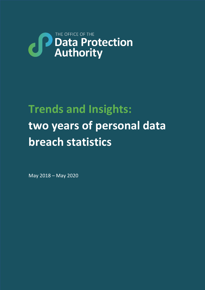# THE OFFICE OF THE **CP** Data Protection

# **Trends and Insights: two years of personal data breach statistics**

May 2018 – May 2020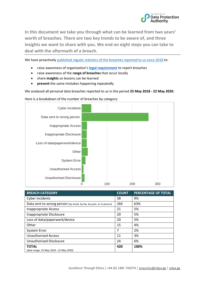

**In this document we take you through what can be learned from two years' worth of breaches. There are two key trends to be aware of, and three insights we want to share with you. We end on eight steps you can take to deal with the aftermath of a breach.** 

We have proactivel[y published regular statistics of the breaches reported to us since 2018](https://odpa.gg/commissioner-encouraged-by-consistent-breach-reporting-trend/) to:

- raise awareness of organisation's **[legal requirement](https://odpa.gg/wp-content/uploads/BreachReporting.pdf)** to report breaches
- raise awareness of the **range of breaches** that occur locally
- share **insights** so lessons can be learned
- **prevent** the same mistakes happening repeatedly.

We analysed all personal data breaches reported to us in the period **25 May 2018 - 22 May 2020**.



**BREACH CATEGORY COUNT PERCENTAGE OF TOTAL** Cyber incidents and the set of  $\vert$  38  $\vert$  9% Data sent to wrong person (by email, by fax, by post, or in person)  $\begin{array}{|l|l|} 264 & 63\% \end{array}$ Inappropriate Access 21 3% Inappropriate Disclosure 20 120 5% Loss of data/paperwork/device 20 1 20 5% Other 15 4% System Error 2% Unauthorised Access 11 3% Unauthorised Disclosure 24 6% **TOTAL**  *(date range: 25 May 2018 - 22 May 2020)* **420 100%**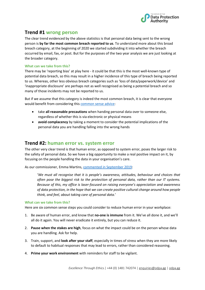

## **Trend #1 wrong person**

The clear trend evidenced by the above statistics is that personal data being sent to the wrong person is **by far the most common breach reported to us**. To understand more about this broad breach category, at the beginning of 2020 we started subdividing it into whether the breach occurred by email, fax, or post. But for the purposes of the two year analysis we are just looking at the broader category.

#### **What can we take from this?**

There may be 'reporting bias' at play here - it could be that this is the most well-known type of potential data breach, so this may result in a higher incidence of this type of breach being reported to us. Whereas, other less obvious breach categories such as 'loss of data/paperwork/device' and 'inappropriate disclosure' are perhaps not as well recognised as being a potential breach and so many of those incidents may not be reported to us.

But if we assume that this category is indeed the most common breach, it is clear that everyone would benefit from considering this [common sense advice:](https://odpa.gg/wp-content/uploads/advice.png)

- take **all reasonable precautions** when handing personal data over to someone else, regardless of whether this is via electronic or physical means
- **avoid complacency** by taking a moment to consider the potential implications of the personal data you are handling falling into the wrong hands

### **Trend #2: human error vs. system error**

The other very clear trend is that human error, as opposed to system error, poses the larger risk to the safety of personal data. So we have a big opportunity to make a real positive impact on it, by focusing on the people handling the data in your organisation's care.

As our commissioner, Emma Martins[, commented in September 2019:](https://odpa.gg/human-behaviour-remains-key-risk-to-protecting-data/)

'*We must all recognise that it is people's awareness, attitudes, behaviour and choices that often pose the biggest risk to the protection of personal data, rather than our IT systems. Because of this, my office is laser-focused on raising everyone's appreciation and awareness of data protection, in the hope that we can create positive cultural change around how people think, and feel, about taking care of personal data.*'

#### **What can we take from this?**

Here are six common sense steps you could consider to reduce human error in your workplace:

- 1. Be aware of human error, and know that **no-one is immune** from it. We've all done it, and we'll all do it again. You will never eradicate it entirely, but you can reduce it.
- 2. **Pause when the stakes are high**, focus on what the impact could be on the person whose data you are handling. Ask for help.
- 3. Train, support, and **look after your staff**, especially in times of stress when they are more likely to default to habitual responses that may lead to errors, rather than considered reasoning.
- 4. **Prime your work environment** with reminders for staff to be vigilant.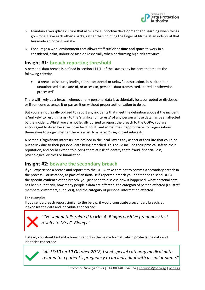

- 5. Maintain a workplace culture that allows for **supportive development and learning** when things go wrong. Have each other's backs, rather than pointing the finger of blame at an individual that has made an honest mistake.
- 6. Encourage a work environment that allows staff sufficient **time and space** to work in a considered, calm, unhurried fashion (especially when performing high-risk activities).

# **Insight #1: breach reporting threshold**

A personal data breach is defined in section 111(1) of the Law as any incident that meets the following criteria:

• 'a breach of security leading to the accidental or unlawful destruction, loss, alteration, unauthorised disclosure of, or access to, personal data transmitted, stored or otherwise processed'

There will likely be a breach whenever any personal data is accidentally lost, corrupted or disclosed, or if someone accesses it or passes it on without proper authorisation to do so.

But you are **not legally obliged** to report any incidents that meet the definition above if the incident is 'unlikely' to result in a risk to the 'significant interests' of any person whose data has been affected by the incident. Whilst you are not legally obliged to report the breach to the ODPA, you are encouraged to do so because it can be difficult, and sometimes inappropriate, for organisations themselves to judge whether there is a risk to a person's significant interests.

A person's 'significant interests' are defined in the local Law as any aspect of their life that could be put at risk due to their personal data being breached. This could include their physical safety, their reputation, and could extend to placing them at risk of identity theft, fraud, financial loss, psychological distress or humiliation.

## **Insight #2: beware the secondary breach**

If you experience a breach and report it to the ODPA, take care not to commit a secondary breach in the process. For instance, as part of an initial self-reported breach you don't need to send ODPA the **specific evidence** of the breach, you just need to disclose **how** it happened, **what** personal data has been put at risk, **how many** people's data are affected, **the category** of person affected (i.e. staff members, customers, suppliers), and the **category** of personal information affected.

### **For example:**

If you sent a breach report similar to the below, it would constitute a secondary breach, as it **exposes** the data and individuals concerned:



"*I've sent details related to Mrs A. Bloggs positive pregnancy test results to Mrs C. Bloggs*."

Instead, you should submit a breach report in the below format, which **protects** the data and identities concerned:



"*At 13:10 on 19 October 2018, I sent special category medical data related to a patient's pregnancy to an individual with a similar name*."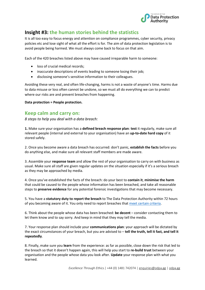

## **Insight #3: the human stories behind the statistics**

It is all too easy to focus energy and attention on compliance programmes, cyber security, privacy policies etc and lose sight of what all the effort is for. The aim of data protection legislation is to avoid people being harmed. We must always come back to focus on that aim.

Each of the 420 breaches listed above may have caused irreparable harm to someone:

- loss of crucial medical records;
- inaccurate descriptions of events leading to someone losing their job;
- disclosing someone's sensitive information to their colleagues.

Avoiding these very real, and often life-changing, harms is not a waste of anyone's time. Harms due to data misuse or loss often cannot be undone, so we must all do everything we can to predict where our risks are and prevent breaches from happening.

**Data protection = People protection.** 

### **Keep calm and carry on:**

*8 steps to help you deal with a data breach:*

**1.** Make sure your organisation has a **defined breach response plan**: **test** it regularly, make sure all relevant people (internal and external to your organisation) have an **up-to-date hard copy** of it stored safely.

2. Once you become aware a data breach has occurred: don't panic, **establish the facts** before you do anything else, and make sure all relevant staff members are made aware.

3. Assemble your **response team** and allow the rest of your organisation to carry on with business as usual. Make sure all staff are given regular updates on the situation especially if it's a serious breach as they may be approached by media.

4. Once you've established the facts of the breach: do your best to **contain it**, **minimise the harm** that could be caused to the people whose information has been breached, and take all reasonable steps to **preserve evidence** for any potential forensic investigations that may become necessary.

5. You have a **statutory duty to report the breach** to The Data Protection Authority within 72 hours of you becoming aware of it. You only need to report breaches that [meet certain criteria.](https://odpa.gg/breach-reporting)

6. Think about the people whose data has been breached: **be decent** – consider contacting them to let them know and to say sorry. And keep in mind that they may tell the media.

7. Your response plan should include your **communications plan**: your approach will be dictated by the exact circumstances of your breach, but you are advised to – **tell the truth, tell it fast, and tell it repeatedly**.

8. Finally, make sure you **learn** from the experience: as far as possible, close down the risk that led to the breach so that it doesn't happen again, this will help you start to **re-build trust** between your organisation and the people whose data you look after. **Update** your response plan with what you learned.